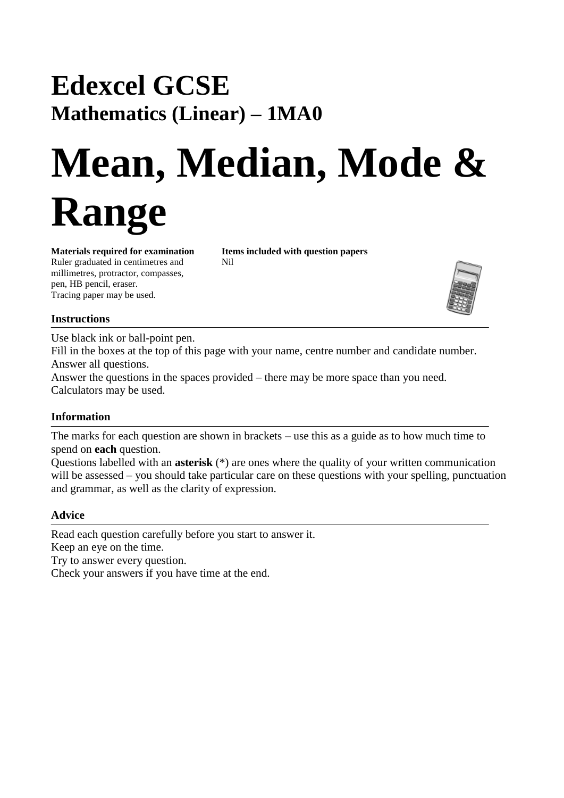## **Edexcel GCSE Mathematics (Linear) – 1MA0**

# **Mean, Median, Mode & Range**

Ruler graduated in centimetres and Nil millimetres, protractor, compasses, pen, HB pencil, eraser. Tracing paper may be used.

**Materials required for examination Items included with question papers**



### **Instructions**

Use black ink or ball-point pen.

Fill in the boxes at the top of this page with your name, centre number and candidate number. Answer all questions.

Answer the questions in the spaces provided – there may be more space than you need. Calculators may be used.

#### **Information**

The marks for each question are shown in brackets – use this as a guide as to how much time to spend on **each** question.

Questions labelled with an **asterisk** (\*) are ones where the quality of your written communication will be assessed – you should take particular care on these questions with your spelling, punctuation and grammar, as well as the clarity of expression.

#### **Advice**

Read each question carefully before you start to answer it. Keep an eye on the time. Try to answer every question. Check your answers if you have time at the end.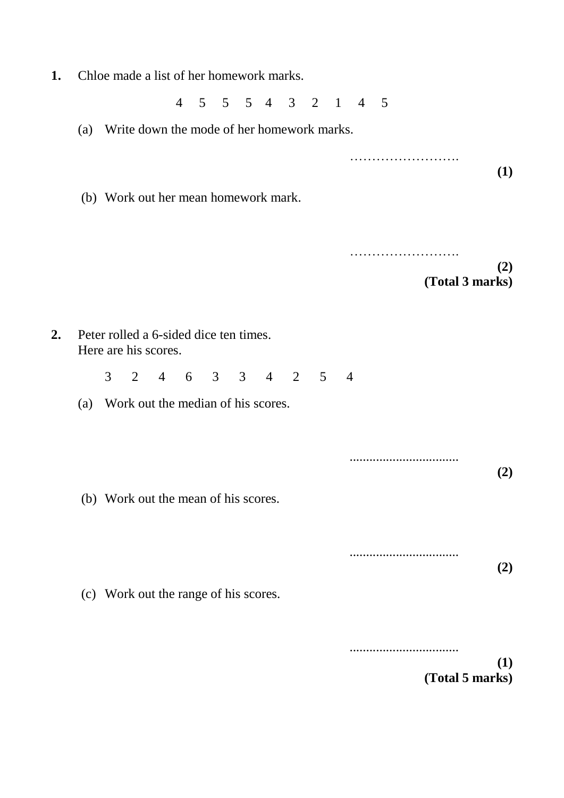**1.** Chloe made a list of her homework marks.

4 5 5 5 4 3 2 1 4 5

- (a) Write down the mode of her homework marks.
- ……………………. **(1)** (b) Work out her mean homework mark. ……………………. **(2) (Total 3 marks) 2.** Peter rolled a 6-sided dice ten times. Here are his scores. 3 2 4 6 3 3 4 2 5 4 (a) Work out the median of his scores. ................................. **(2)** (b) Work out the mean of his scores. ................................. **(2)** (c) Work out the range of his scores. .................................

**(1) (Total 5 marks)**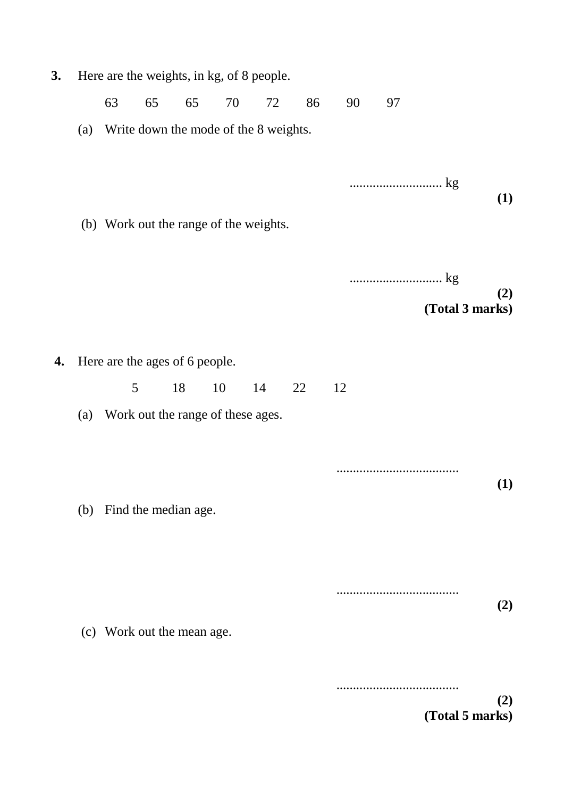| 3. | Here are the weights, in kg, of 8 people. |    |    |                            |                                        |    |    |    |    |                        |  |
|----|-------------------------------------------|----|----|----------------------------|----------------------------------------|----|----|----|----|------------------------|--|
|    |                                           | 63 | 65 | 65                         | 70                                     | 72 | 86 | 90 | 97 |                        |  |
|    | (a)                                       |    |    |                            | Write down the mode of the 8 weights.  |    |    |    |    |                        |  |
|    |                                           |    |    |                            | (b) Work out the range of the weights. |    |    |    |    | (1)                    |  |
|    |                                           |    |    |                            |                                        |    |    |    |    | (2)<br>(Total 3 marks) |  |
|    |                                           |    |    |                            |                                        |    |    |    |    |                        |  |
| 4. | Here are the ages of 6 people.            |    |    |                            |                                        |    |    |    |    |                        |  |
|    |                                           |    | 5  | 18                         | 10                                     | 14 | 22 | 12 |    |                        |  |
|    | (a)                                       |    |    |                            | Work out the range of these ages.      |    |    |    |    |                        |  |
|    | (b)                                       |    |    | Find the median age.       |                                        |    |    |    |    | (1)                    |  |
|    |                                           |    |    |                            |                                        |    |    |    |    |                        |  |
|    |                                           |    |    | (c) Work out the mean age. |                                        |    |    |    |    | (2)                    |  |
|    |                                           |    |    |                            |                                        |    |    |    |    |                        |  |

**(2) (Total 5 marks)**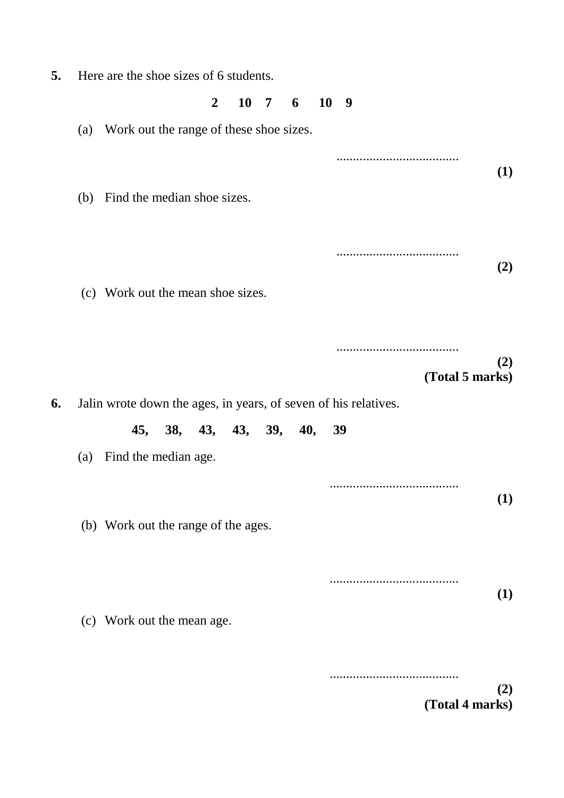**5.** Here are the shoe sizes of 6 students.

#### **2 10 7 6 10 9**

(a) Work out the range of these shoe sizes.

..................................... **(1)** (b) Find the median shoe sizes. ..................................... **(2)** (c) Work out the mean shoe sizes. ..................................... **(2) (Total 5 marks) 6.** Jalin wrote down the ages, in years, of seven of his relatives. **45, 38, 43, 43, 39, 40, 39** (a) Find the median age. ....................................... **(1)** (b) Work out the range of the ages. ....................................... **(1)** (c) Work out the mean age.

> **(2) (Total 4 marks)**

.......................................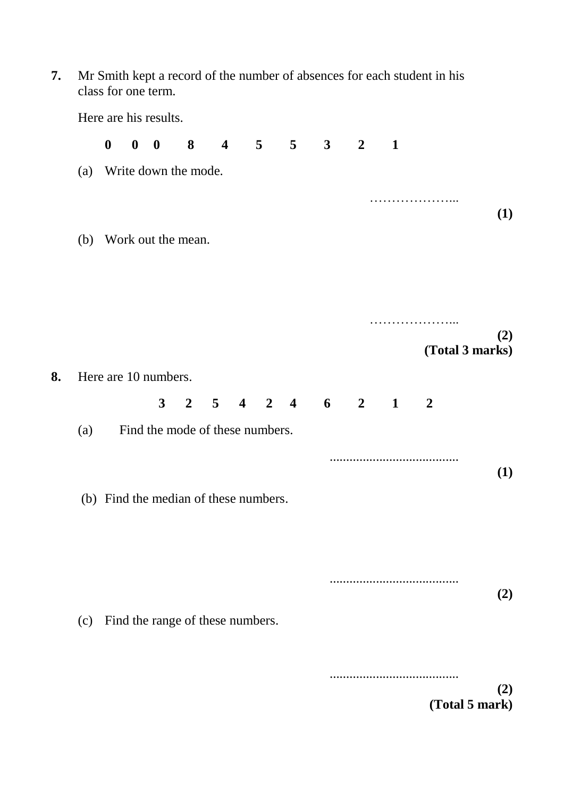**7.** Mr Smith kept a record of the number of absences for each student in his class for one term.

Here are his results. **0 0 0 8 4 5 5 3 2 1** (a) Write down the mode. …………………… **(1)** (b) Work out the mean. …………………… **(2) (Total 3 marks) 8.** Here are 10 numbers. **3 2 5 4 2 4 6 2 1 2** (a) Find the mode of these numbers. ....................................... **(1)** (b) Find the median of these numbers. ....................................... **(2)** (c) Find the range of these numbers. .......................................

> **(2) (Total 5 mark)**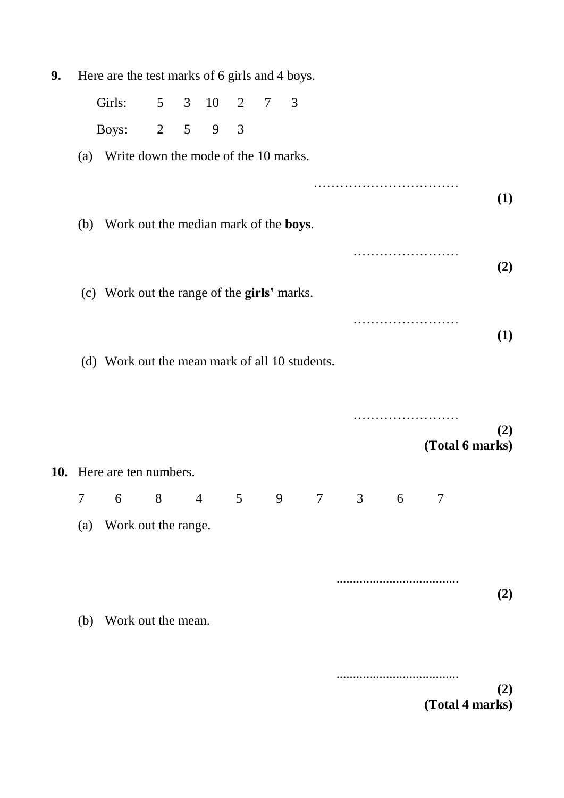| 9. | Here are the test marks of 6 girls and 4 boys. |                                                   |             |  |                     |   |                |   |  |  |   |                 |     |
|----|------------------------------------------------|---------------------------------------------------|-------------|--|---------------------|---|----------------|---|--|--|---|-----------------|-----|
|    |                                                | Girls:                                            |             |  | $5 \t 3 \t 10 \t 2$ |   | $\overline{7}$ | 3 |  |  |   |                 |     |
|    |                                                | Boys:                                             | $2 \quad 5$ |  | 9                   | 3 |                |   |  |  |   |                 |     |
|    | (a) Write down the mode of the 10 marks.       |                                                   |             |  |                     |   |                |   |  |  |   |                 |     |
|    |                                                |                                                   |             |  |                     |   |                |   |  |  |   |                 | (1) |
|    |                                                | (b) Work out the median mark of the <b>boys</b> . |             |  |                     |   |                |   |  |  |   |                 |     |
|    |                                                |                                                   |             |  |                     |   |                |   |  |  |   |                 | (2) |
|    |                                                | (c) Work out the range of the girls' marks.       |             |  |                     |   |                |   |  |  |   |                 |     |
|    |                                                |                                                   |             |  |                     |   |                |   |  |  |   |                 | (1) |
|    | (d) Work out the mean mark of all 10 students. |                                                   |             |  |                     |   |                |   |  |  |   |                 |     |
|    |                                                |                                                   |             |  |                     |   |                |   |  |  |   |                 |     |
|    |                                                |                                                   |             |  |                     |   |                |   |  |  |   |                 | (2) |
|    |                                                |                                                   |             |  |                     |   |                |   |  |  |   | (Total 6 marks) |     |
|    |                                                | 10. Here are ten numbers.                         |             |  |                     |   |                |   |  |  |   |                 |     |
|    | 7 <sup>7</sup>                                 | 6 8 4 5 9 7 3                                     |             |  |                     |   |                |   |  |  | 6 | 7               |     |
|    | (a)                                            | Work out the range.                               |             |  |                     |   |                |   |  |  |   |                 |     |
|    |                                                |                                                   |             |  |                     |   |                |   |  |  |   |                 |     |
|    |                                                |                                                   |             |  |                     |   |                |   |  |  |   |                 |     |
|    | (b)                                            | Work out the mean.                                |             |  |                     |   |                |   |  |  |   |                 | (2) |
|    |                                                |                                                   |             |  |                     |   |                |   |  |  |   |                 |     |
|    |                                                |                                                   |             |  |                     |   |                |   |  |  |   |                 |     |
|    |                                                |                                                   |             |  |                     |   |                |   |  |  |   |                 | (2) |
|    |                                                |                                                   |             |  |                     |   |                |   |  |  |   | (Total 4 marks) |     |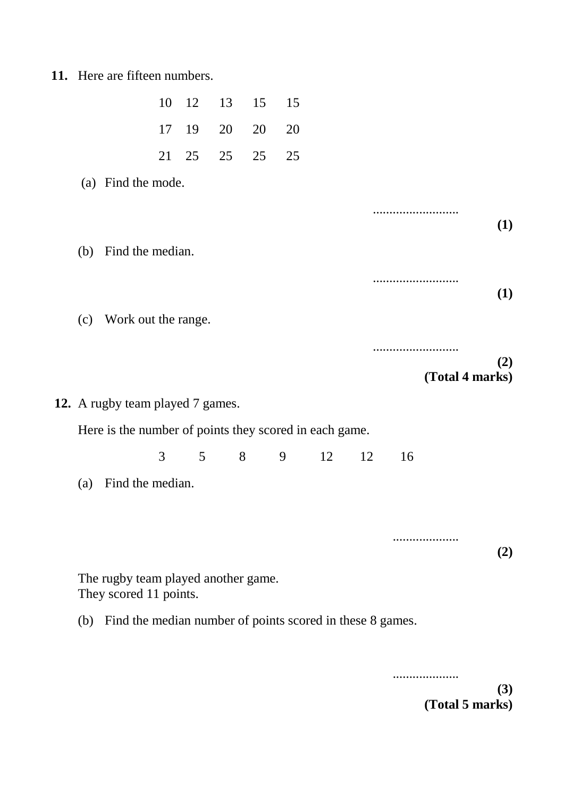**11.** Here are fifteen numbers.

|                                                        |                                                               | 10 | 12 | 13           | 15 | 15 |    |    |    |                 |     |
|--------------------------------------------------------|---------------------------------------------------------------|----|----|--------------|----|----|----|----|----|-----------------|-----|
|                                                        |                                                               | 17 | 19 | 20           | 20 | 20 |    |    |    |                 |     |
|                                                        |                                                               | 21 | 25 | 25           | 25 | 25 |    |    |    |                 |     |
|                                                        | (a) Find the mode.                                            |    |    |              |    |    |    |    |    |                 |     |
|                                                        |                                                               |    |    |              |    |    |    |    |    |                 | (1) |
| (b)                                                    | Find the median.                                              |    |    |              |    |    |    |    |    |                 |     |
|                                                        |                                                               |    |    |              |    |    |    |    |    |                 | (1) |
| (c)                                                    | Work out the range.                                           |    |    |              |    |    |    |    |    |                 |     |
|                                                        |                                                               |    |    |              |    |    |    |    |    | (Total 4 marks) | (2) |
|                                                        | 12. A rugby team played 7 games.                              |    |    |              |    |    |    |    |    |                 |     |
| Here is the number of points they scored in each game. |                                                               |    |    |              |    |    |    |    |    |                 |     |
|                                                        |                                                               | 3  |    | $5 \qquad 8$ |    | 9  | 12 | 12 | 16 |                 |     |
| (a)                                                    | Find the median.                                              |    |    |              |    |    |    |    |    |                 |     |
|                                                        |                                                               |    |    |              |    |    |    |    |    | .               | (2) |
|                                                        | The rugby team played another game.<br>They scored 11 points. |    |    |              |    |    |    |    |    |                 |     |
|                                                        |                                                               |    |    |              |    |    |    |    |    |                 |     |

.................... **(3) (Total 5 marks)**